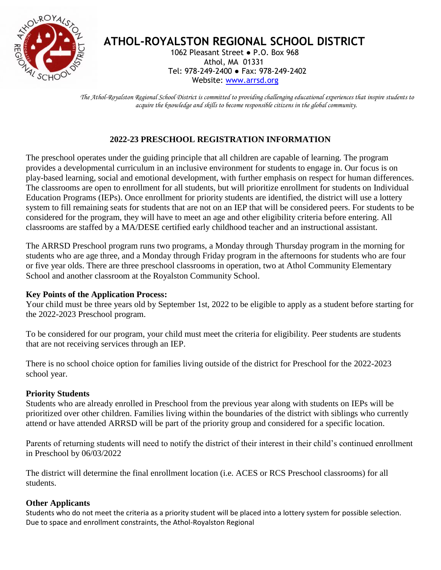

# **ATHOL-ROYALSTON REGIONAL SCHOOL DISTRICT**

 1062 Pleasant Street ● P.O. Box 968 Athol, MA 01331 Tel: 978-249-2400 ● Fax: 978-249-2402 Website: [www.arrsd.org](http://www.arrsd.org/)

*The Athol-Royalston Regional School District is committed to providing challenging educational experiences that inspire students to acquire the knowledge and skills to become responsible citizens in the global community.*

## **2022-23 PRESCHOOL REGISTRATION INFORMATION**

The preschool operates under the guiding principle that all children are capable of learning. The program provides a developmental curriculum in an inclusive environment for students to engage in. Our focus is on play-based learning, social and emotional development, with further emphasis on respect for human differences. The classrooms are open to enrollment for all students, but will prioritize enrollment for students on Individual Education Programs (IEPs). Once enrollment for priority students are identified, the district will use a lottery system to fill remaining seats for students that are not on an IEP that will be considered peers. For students to be considered for the program, they will have to meet an age and other eligibility criteria before entering. All classrooms are staffed by a MA/DESE certified early childhood teacher and an instructional assistant.

The ARRSD Preschool program runs two programs, a Monday through Thursday program in the morning for students who are age three, and a Monday through Friday program in the afternoons for students who are four or five year olds. There are three preschool classrooms in operation, two at Athol Community Elementary School and another classroom at the Royalston Community School.

## **Key Points of the Application Process:**

Your child must be three years old by September 1st, 2022 to be eligible to apply as a student before starting for the 2022-2023 Preschool program.

To be considered for our program, your child must meet the criteria for eligibility. Peer students are students that are not receiving services through an IEP.

There is no school choice option for families living outside of the district for Preschool for the 2022-2023 school year.

## **Priority Students**

Students who are already enrolled in Preschool from the previous year along with students on IEPs will be prioritized over other children. Families living within the boundaries of the district with siblings who currently attend or have attended ARRSD will be part of the priority group and considered for a specific location.

Parents of returning students will need to notify the district of their interest in their child's continued enrollment in Preschool by 06/03/2022

The district will determine the final enrollment location (i.e. ACES or RCS Preschool classrooms) for all students.

## **Other Applicants**

Students who do not meet the criteria as a priority student will be placed into a lottery system for possible selection. Due to space and enrollment constraints, the Athol-Royalston Regional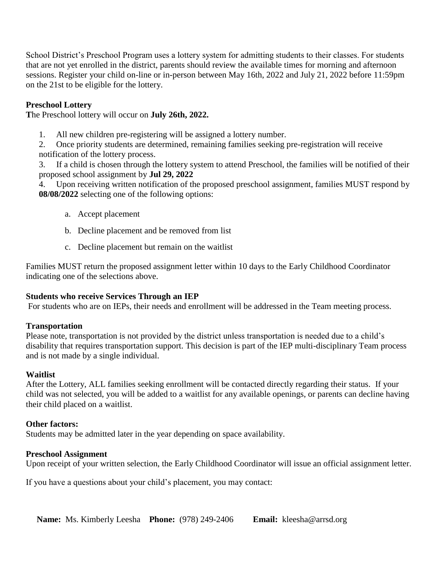School District's Preschool Program uses a lottery system for admitting students to their classes. For students that are not yet enrolled in the district, parents should review the available times for morning and afternoon sessions. Register your child on-line or in-person between May 16th, 2022 and July 21, 2022 before 11:59pm on the 21st to be eligible for the lottery.

### **Preschool Lottery**

**T**he Preschool lottery will occur on **July 26th, 2022.**

1. All new children pre-registering will be assigned a lottery number.

2. Once priority students are determined, remaining families seeking pre-registration will receive notification of the lottery process.

3. If a child is chosen through the lottery system to attend Preschool, the families will be notified of their proposed school assignment by **Jul 29, 2022**

4. Upon receiving written notification of the proposed preschool assignment, families MUST respond by **08/08/2022** selecting one of the following options:

- a. Accept placement
- b. Decline placement and be removed from list
- c. Decline placement but remain on the waitlist

Families MUST return the proposed assignment letter within 10 days to the Early Childhood Coordinator indicating one of the selections above.

#### **Students who receive Services Through an IEP**

For students who are on IEPs, their needs and enrollment will be addressed in the Team meeting process.

#### **Transportation**

Please note, transportation is not provided by the district unless transportation is needed due to a child's disability that requires transportation support. This decision is part of the IEP multi-disciplinary Team process and is not made by a single individual.

#### **Waitlist**

After the Lottery, ALL families seeking enrollment will be contacted directly regarding their status. If your child was not selected, you will be added to a waitlist for any available openings, or parents can decline having their child placed on a waitlist.

#### **Other factors:**

Students may be admitted later in the year depending on space availability.

#### **Preschool Assignment**

Upon receipt of your written selection, the Early Childhood Coordinator will issue an official assignment letter.

If you have a questions about your child's placement, you may contact: